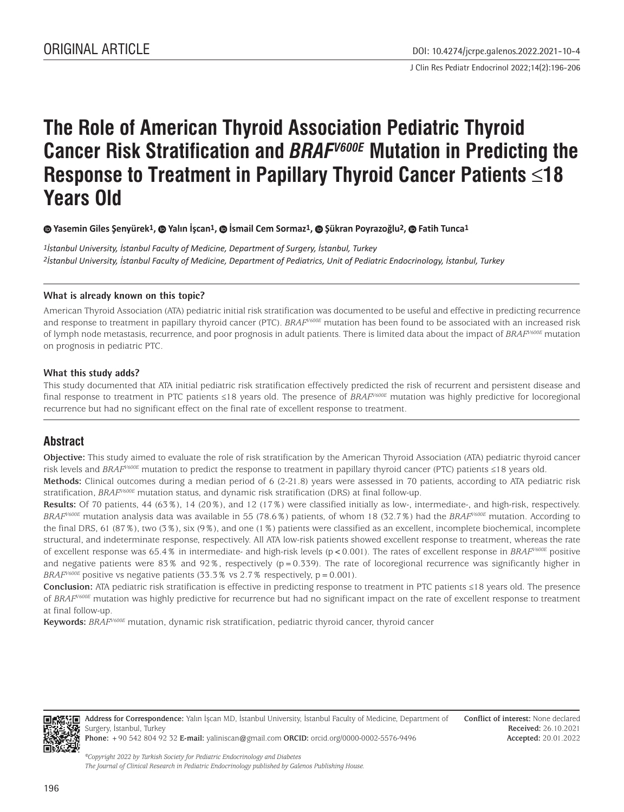J Clin Res Pediatr Endocrinol 2022;14(2):196-206

# **The Role of American Thyroid Association Pediatric Thyroid Cancer Risk Stratification and** *BRAFV600E* **Mutation in Predicting the Response to Treatment in Papillary Thyroid Cancer Patients ≤18 Years Old**

 **Yasemin Giles Şenyürek1,Yalın İşcan1,İsmail Cem Sormaz1, Şükran Poyrazoğlu2,Fatih Tunca1**

*1İstanbul University, İstanbul Faculty of Medicine, Department of Surgery, İstanbul, Turkey 2İstanbul University, İstanbul Faculty of Medicine, Department of Pediatrics, Unit of Pediatric Endocrinology, İstanbul, Turkey*

## **What is already known on this topic?**

American Thyroid Association (ATA) pediatric initial risk stratification was documented to be useful and effective in predicting recurrence and response to treatment in papillary thyroid cancer (PTC). *BRAFV600E* mutation has been found to be associated with an increased risk of lymph node metastasis, recurrence, and poor prognosis in adult patients. There is limited data about the impact of *BRAFV600E* mutation on prognosis in pediatric PTC.

#### **What this study adds?**

This study documented that ATA initial pediatric risk stratification effectively predicted the risk of recurrent and persistent disease and final response to treatment in PTC patients ≤18 years old. The presence of *BRAFV600E* mutation was highly predictive for locoregional recurrence but had no significant effect on the final rate of excellent response to treatment.

# **Abstract**

**Objective:** This study aimed to evaluate the role of risk stratification by the American Thyroid Association (ATA) pediatric thyroid cancer risk levels and *BRAFV600E* mutation to predict the response to treatment in papillary thyroid cancer (PTC) patients ≤18 years old.

**Methods:** Clinical outcomes during a median period of 6 (2-21.8) years were assessed in 70 patients, according to ATA pediatric risk stratification, *BRAFV600E* mutation status, and dynamic risk stratification (DRS) at final follow-up.

**Results:** Of 70 patients, 44 (63%), 14 (20%), and 12 (17%) were classified initially as low-, intermediate-, and high-risk, respectively. *BRAFV600E* mutation analysis data was available in 55 (78.6%) patients, of whom 18 (32.7%) had the *BRAFV600E* mutation. According to the final DRS, 61 (87%), two (3%), six (9%), and one (1%) patients were classified as an excellent, incomplete biochemical, incomplete structural, and indeterminate response, respectively. All ATA low-risk patients showed excellent response to treatment, whereas the rate of excellent response was 65.4% in intermediate- and high-risk levels (p<0.001). The rates of excellent response in *BRAFV600E* positive and negative patients were 83% and 92%, respectively ( $p=0.339$ ). The rate of locoregional recurrence was significantly higher in *BRAF<sup>V600E</sup>* positive vs negative patients (33.3% vs 2.7% respectively,  $p = 0.001$ ).

**Conclusion:** ATA pediatric risk stratification is effective in predicting response to treatment in PTC patients ≤18 years old. The presence of *BRAF<sup>V600E</sup>* mutation was highly predictive for recurrence but had no significant impact on the rate of excellent response to treatment at final follow-up.

**Keywords:** *BRAFV600E* mutation, dynamic risk stratification, pediatric thyroid cancer, thyroid cancer



**Address for Correspondence:** Yalın İşcan MD, İstanbul University, İstanbul Faculty of Medicine, Department of Surgery, İstanbul, Turkey **Phone:** +90 542 804 92 32 **E-mail:** yaliniscan@gmail.com **ORCID:** orcid.org/0000-0002-5576-9496

**Conflict of interest:** None declared **Received:** 26.10.2021 **Accepted:** 20.01.2022

*©Copyright 2022 by Turkish Society for Pediatric Endocrinology and Diabetes The Journal of Clinical Research in Pediatric Endocrinology published by Galenos Publishing House.*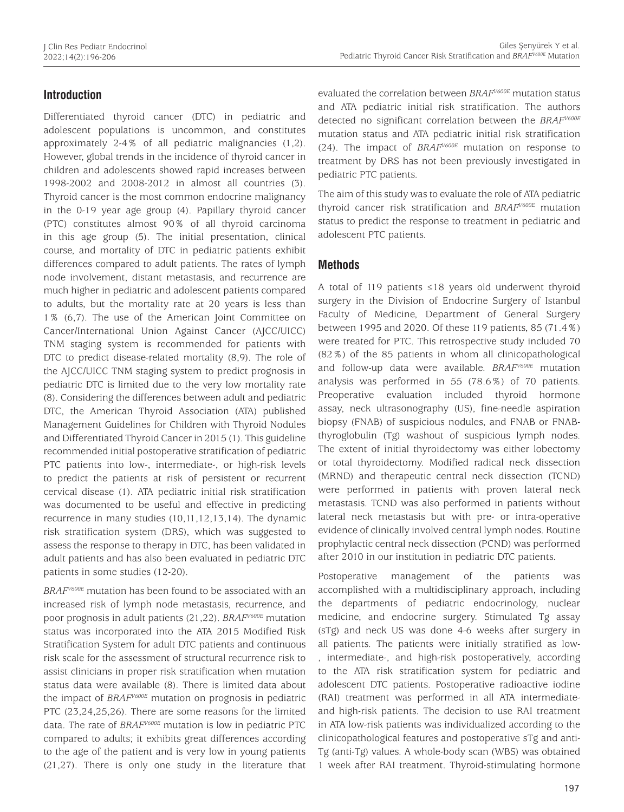## **Introduction**

Differentiated thyroid cancer (DTC) in pediatric and adolescent populations is uncommon, and constitutes approximately 2-4% of all pediatric malignancies (1,2). However, global trends in the incidence of thyroid cancer in children and adolescents showed rapid increases between 1998-2002 and 2008-2012 in almost all countries (3). Thyroid cancer is the most common endocrine malignancy in the 0-19 year age group (4). Papillary thyroid cancer (PTC) constitutes almost 90% of all thyroid carcinoma in this age group (5). The initial presentation, clinical course, and mortality of DTC in pediatric patients exhibit differences compared to adult patients. The rates of lymph node involvement, distant metastasis, and recurrence are much higher in pediatric and adolescent patients compared to adults, but the mortality rate at 20 years is less than 1% (6,7). The use of the American Joint Committee on Cancer/International Union Against Cancer (AJCC/UICC) TNM staging system is recommended for patients with DTC to predict disease-related mortality (8,9). The role of the AJCC/UICC TNM staging system to predict prognosis in pediatric DTC is limited due to the very low mortality rate (8). Considering the differences between adult and pediatric DTC, the American Thyroid Association (ATA) published Management Guidelines for Children with Thyroid Nodules and Differentiated Thyroid Cancer in 2015 (1). This guideline recommended initial postoperative stratification of pediatric PTC patients into low-, intermediate-, or high-risk levels to predict the patients at risk of persistent or recurrent cervical disease (1). ATA pediatric initial risk stratification was documented to be useful and effective in predicting recurrence in many studies (10,11,12,13,14). The dynamic risk stratification system (DRS), which was suggested to assess the response to therapy in DTC, has been validated in adult patients and has also been evaluated in pediatric DTC patients in some studies (12-20).

*BRAFV600E* mutation has been found to be associated with an increased risk of lymph node metastasis, recurrence, and poor prognosis in adult patients (21,22). *BRAFV600E* mutation status was incorporated into the ATA 2015 Modified Risk Stratification System for adult DTC patients and continuous risk scale for the assessment of structural recurrence risk to assist clinicians in proper risk stratification when mutation status data were available (8). There is limited data about the impact of *BRAFV600E* mutation on prognosis in pediatric PTC (23,24,25,26). There are some reasons for the limited data. The rate of *BRAFV600E* mutation is low in pediatric PTC compared to adults; it exhibits great differences according to the age of the patient and is very low in young patients (21,27). There is only one study in the literature that evaluated the correlation between *BRAFV600E* mutation status and ATA pediatric initial risk stratification. The authors detected no significant correlation between the *BRAFV600E* mutation status and ATA pediatric initial risk stratification (24). The impact of *BRAFV600E* mutation on response to treatment by DRS has not been previously investigated in pediatric PTC patients.

The aim of this study was to evaluate the role of ATA pediatric thyroid cancer risk stratification and *BRAFV600E* mutation status to predict the response to treatment in pediatric and adolescent PTC patients.

## **Methods**

A total of 119 patients ≤18 years old underwent thyroid surgery in the Division of Endocrine Surgery of Istanbul Faculty of Medicine, Department of General Surgery between 1995 and 2020. Of these 119 patients, 85 (71.4%) were treated for PTC. This retrospective study included 70 (82%) of the 85 patients in whom all clinicopathological and follow-up data were available. *BRAFV600E* mutation analysis was performed in 55 (78.6%) of 70 patients. Preoperative evaluation included thyroid hormone assay, neck ultrasonography (US), fine-needle aspiration biopsy (FNAB) of suspicious nodules, and FNAB or FNABthyroglobulin (Tg) washout of suspicious lymph nodes. The extent of initial thyroidectomy was either lobectomy or total thyroidectomy. Modified radical neck dissection (MRND) and therapeutic central neck dissection (TCND) were performed in patients with proven lateral neck metastasis. TCND was also performed in patients without lateral neck metastasis but with pre- or intra-operative evidence of clinically involved central lymph nodes. Routine prophylactic central neck dissection (PCND) was performed after 2010 in our institution in pediatric DTC patients.

Postoperative management of the patients was accomplished with a multidisciplinary approach, including the departments of pediatric endocrinology, nuclear medicine, and endocrine surgery. Stimulated Tg assay (sTg) and neck US was done 4-6 weeks after surgery in all patients. The patients were initially stratified as low- , intermediate-, and high-risk postoperatively, according to the ATA risk stratification system for pediatric and adolescent DTC patients. Postoperative radioactive iodine (RAI) treatment was performed in all ATA intermediateand high-risk patients. The decision to use RAI treatment in ATA low-risk patients was individualized according to the clinicopathological features and postoperative sTg and anti-Tg (anti-Tg) values. A whole-body scan (WBS) was obtained 1 week after RAI treatment. Thyroid-stimulating hormone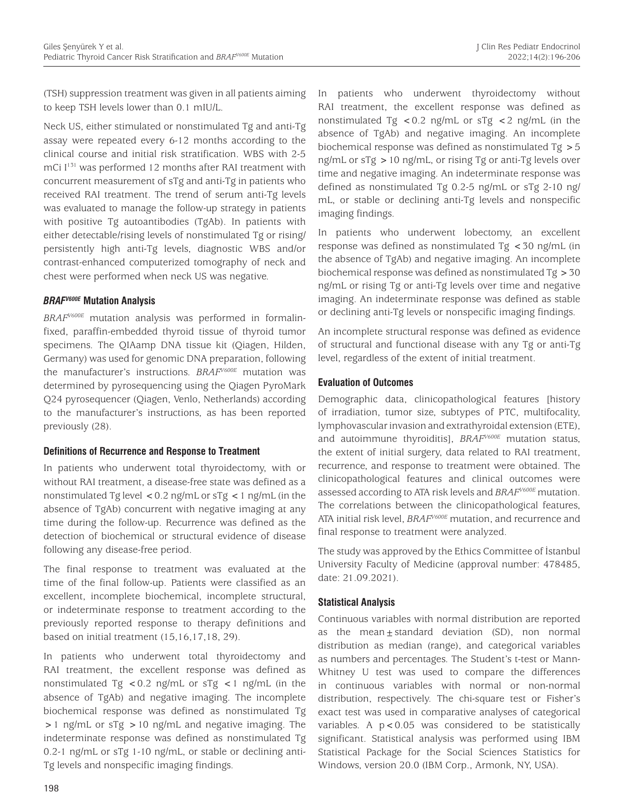(TSH) suppression treatment was given in all patients aiming to keep TSH levels lower than 0.1 mIU/L.

Neck US, either stimulated or nonstimulated Tg and anti-Tg assay were repeated every 6-12 months according to the clinical course and initial risk stratification. WBS with 2-5 mCi I<sup>131</sup> was performed 12 months after RAI treatment with concurrent measurement of sTg and anti-Tg in patients who received RAI treatment. The trend of serum anti-Tg levels was evaluated to manage the follow-up strategy in patients with positive Tg autoantibodies (TgAb). In patients with either detectable/rising levels of nonstimulated Tg or rising/ persistently high anti-Tg levels, diagnostic WBS and/or contrast-enhanced computerized tomography of neck and chest were performed when neck US was negative.

## *BRAFV600E* **Mutation Analysis**

*BRAFV600E* mutation analysis was performed in formalinfixed, paraffin-embedded thyroid tissue of thyroid tumor specimens. The QIAamp DNA tissue kit (Qiagen, Hilden, Germany) was used for genomic DNA preparation, following the manufacturer's instructions. *BRAFV600E* mutation was determined by pyrosequencing using the Qiagen PyroMark Q24 pyrosequencer (Qiagen, Venlo, Netherlands) according to the manufacturer's instructions, as has been reported previously (28).

#### **Definitions of Recurrence and Response to Treatment**

In patients who underwent total thyroidectomy, with or without RAI treatment, a disease-free state was defined as a nonstimulated Tg level <0.2 ng/mL or sTg <1 ng/mL (in the absence of TgAb) concurrent with negative imaging at any time during the follow-up. Recurrence was defined as the detection of biochemical or structural evidence of disease following any disease-free period.

The final response to treatment was evaluated at the time of the final follow-up. Patients were classified as an excellent, incomplete biochemical, incomplete structural, or indeterminate response to treatment according to the previously reported response to therapy definitions and based on initial treatment (15,16,17,18, 29).

In patients who underwent total thyroidectomy and RAI treatment, the excellent response was defined as nonstimulated Tg <  $0.2$  ng/mL or sTg < 1 ng/mL (in the absence of TgAb) and negative imaging. The incomplete biochemical response was defined as nonstimulated Tg >1 ng/mL or sTg >10 ng/mL and negative imaging. The indeterminate response was defined as nonstimulated Tg 0.2-1 ng/mL or sTg 1-10 ng/mL, or stable or declining anti-Tg levels and nonspecific imaging findings.

In patients who underwent thyroidectomy without RAI treatment, the excellent response was defined as nonstimulated Tg  $< 0.2$  ng/mL or sTg  $< 2$  ng/mL (in the absence of TgAb) and negative imaging. An incomplete biochemical response was defined as nonstimulated Tg >5 ng/mL or sTg >10 ng/mL, or rising Tg or anti-Tg levels over time and negative imaging. An indeterminate response was defined as nonstimulated Tg 0.2-5 ng/mL or sTg 2-10 ng/ mL, or stable or declining anti-Tg levels and nonspecific imaging findings.

In patients who underwent lobectomy, an excellent response was defined as nonstimulated Tg <30 ng/mL (in the absence of TgAb) and negative imaging. An incomplete biochemical response was defined as nonstimulated Tg >30 ng/mL or rising Tg or anti-Tg levels over time and negative imaging. An indeterminate response was defined as stable or declining anti-Tg levels or nonspecific imaging findings.

An incomplete structural response was defined as evidence of structural and functional disease with any Tg or anti-Tg level, regardless of the extent of initial treatment.

## **Evaluation of Outcomes**

Demographic data, clinicopathological features [history of irradiation, tumor size, subtypes of PTC, multifocality, lymphovascular invasion and extrathyroidal extension (ETE), and autoimmune thyroiditis], *BRAFV600E* mutation status, the extent of initial surgery, data related to RAI treatment, recurrence, and response to treatment were obtained. The clinicopathological features and clinical outcomes were assessed according to ATA risk levels and *BRAFV600E* mutation. The correlations between the clinicopathological features, ATA initial risk level, *BRAFV600E* mutation, and recurrence and final response to treatment were analyzed.

The study was approved by the Ethics Committee of İstanbul University Faculty of Medicine (approval number: 478485, date: 21.09.2021).

## **Statistical Analysis**

Continuous variables with normal distribution are reported as the mean $\pm$ standard deviation (SD), non normal distribution as median (range), and categorical variables as numbers and percentages. The Student's t-test or Mann-Whitney U test was used to compare the differences in continuous variables with normal or non-normal distribution, respectively. The chi-square test or Fisher's exact test was used in comparative analyses of categorical variables. A  $p < 0.05$  was considered to be statistically significant. Statistical analysis was performed using IBM Statistical Package for the Social Sciences Statistics for Windows, version 20.0 (IBM Corp., Armonk, NY, USA).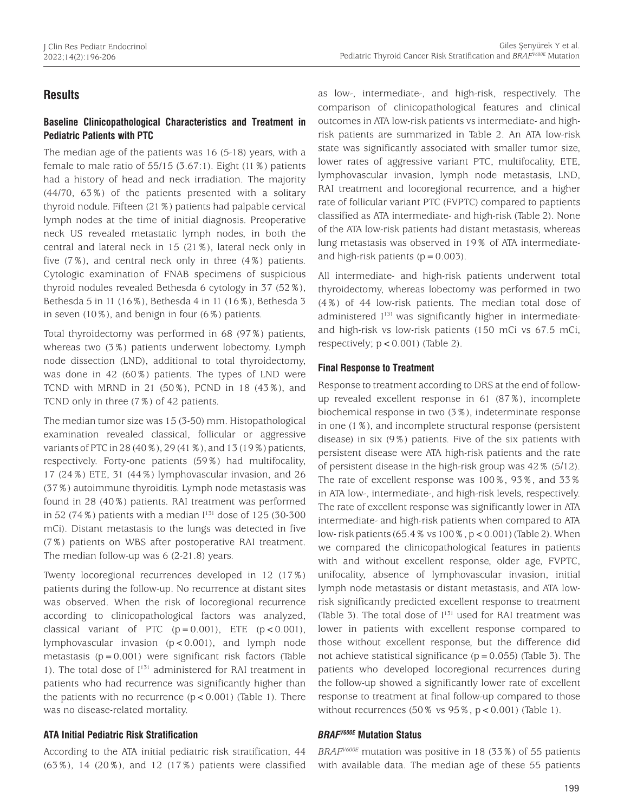# **Results**

## **Baseline Clinicopathological Characteristics and Treatment in Pediatric Patients with PTC**

The median age of the patients was 16 (5-18) years, with a female to male ratio of 55/15 (3.67:1). Eight (11%) patients had a history of head and neck irradiation. The majority (44/70, 63%) of the patients presented with a solitary thyroid nodule. Fifteen (21%) patients had palpable cervical lymph nodes at the time of initial diagnosis. Preoperative neck US revealed metastatic lymph nodes, in both the central and lateral neck in 15 (21%), lateral neck only in five (7%), and central neck only in three (4%) patients. Cytologic examination of FNAB specimens of suspicious thyroid nodules revealed Bethesda 6 cytology in 37 (52%), Bethesda 5 in 11 (16%), Bethesda 4 in 11 (16%), Bethesda 3 in seven (10%), and benign in four (6%) patients.

Total thyroidectomy was performed in 68 (97%) patients, whereas two (3%) patients underwent lobectomy. Lymph node dissection (LND), additional to total thyroidectomy, was done in 42 (60%) patients. The types of LND were TCND with MRND in 21 (50%), PCND in 18 (43%), and TCND only in three (7%) of 42 patients.

The median tumor size was 15 (3-50) mm. Histopathological examination revealed classical, follicular or aggressive variants of PTC in 28 (40%), 29 (41%), and 13 (19%) patients, respectively. Forty-one patients (59%) had multifocality, 17 (24%) ETE, 31 (44%) lymphovascular invasion, and 26 (37%) autoimmune thyroiditis. Lymph node metastasis was found in 28 (40%) patients. RAI treatment was performed in 52 (74%) patients with a median  $I^{131}$  dose of 125 (30-300 mCi). Distant metastasis to the lungs was detected in five (7%) patients on WBS after postoperative RAI treatment. The median follow-up was 6 (2-21.8) years.

Twenty locoregional recurrences developed in 12 (17%) patients during the follow-up. No recurrence at distant sites was observed. When the risk of locoregional recurrence according to clinicopathological factors was analyzed, classical variant of PTC  $(p=0.001)$ , ETE  $(p < 0.001)$ , lymphovascular invasion  $(p < 0.001)$ , and lymph node metastasis  $(p = 0.001)$  were significant risk factors (Table 1). The total dose of  $I^{131}$  administered for RAI treatment in patients who had recurrence was significantly higher than the patients with no recurrence  $(p < 0.001)$  (Table 1). There was no disease-related mortality.

## **ATA Initial Pediatric Risk Stratification**

According to the ATA initial pediatric risk stratification, 44 (63%), 14 (20%), and 12 (17%) patients were classified as low-, intermediate-, and high-risk, respectively. The comparison of clinicopathological features and clinical outcomes in ATA low-risk patients vs intermediate- and highrisk patients are summarized in Table 2. An ATA low-risk state was significantly associated with smaller tumor size, lower rates of aggressive variant PTC, multifocality, ETE, lymphovascular invasion, lymph node metastasis, LND, RAI treatment and locoregional recurrence, and a higher rate of follicular variant PTC (FVPTC) compared to paptients classified as ATA intermediate- and high-risk (Table 2). None of the ATA low-risk patients had distant metastasis, whereas lung metastasis was observed in 19% of ATA intermediateand high-risk patients  $(p=0.003)$ .

All intermediate- and high-risk patients underwent total thyroidectomy, whereas lobectomy was performed in two (4%) of 44 low-risk patients. The median total dose of administered I<sup>131</sup> was significantly higher in intermediateand high-risk vs low-risk patients (150 mCi vs 67.5 mCi, respectively;  $p < 0.001$ ) (Table 2).

## **Final Response to Treatment**

Response to treatment according to DRS at the end of followup revealed excellent response in 61 (87%), incomplete biochemical response in two (3%), indeterminate response in one (1%), and incomplete structural response (persistent disease) in six (9%) patients. Five of the six patients with persistent disease were ATA high-risk patients and the rate of persistent disease in the high-risk group was 42% (5/12). The rate of excellent response was 100%, 93%, and 33% in ATA low-, intermediate-, and high-risk levels, respectively. The rate of excellent response was significantly lower in ATA intermediate- and high-risk patients when compared to ATA low- risk patients (65.4% vs 100%, p < 0.001) (Table 2). When we compared the clinicopathological features in patients with and without excellent response, older age, FVPTC, unifocality, absence of lymphovascular invasion, initial lymph node metastasis or distant metastasis, and ATA lowrisk significantly predicted excellent response to treatment (Table 3). The total dose of  $I^{131}$  used for RAI treatment was lower in patients with excellent response compared to those without excellent response, but the difference did not achieve statistical significance  $(p=0.055)$  (Table 3). The patients who developed locoregional recurrences during the follow-up showed a significantly lower rate of excellent response to treatment at final follow-up compared to those without recurrences  $(50\% \text{ vs } 95\%, \text{ p} < 0.001)$  (Table 1).

#### *BRAFV600E* **Mutation Status**

*BRAFV600E* mutation was positive in 18 (33%) of 55 patients with available data. The median age of these 55 patients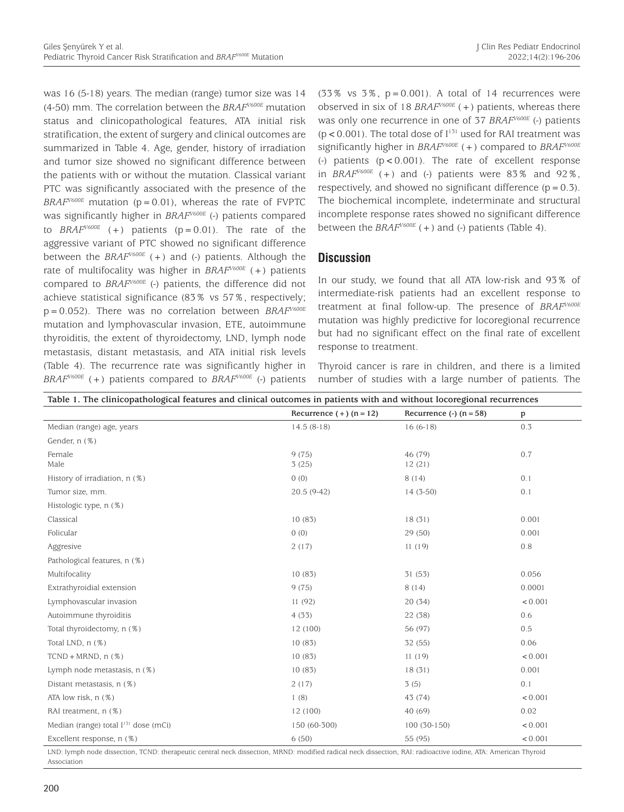was 16 (5-18) years. The median (range) tumor size was 14 (4-50) mm. The correlation between the *BRAFV600E* mutation status and clinicopathological features, ATA initial risk stratification, the extent of surgery and clinical outcomes are summarized in Table 4. Age, gender, history of irradiation and tumor size showed no significant difference between the patients with or without the mutation. Classical variant PTC was significantly associated with the presence of the  $BRAF<sup>V600E</sup>$  mutation ( $p = 0.01$ ), whereas the rate of FVPTC was significantly higher in *BRAFV600E* (-) patients compared to *BRAF<sup>V600E</sup>* (+) patients ( $p = 0.01$ ). The rate of the aggressive variant of PTC showed no significant difference between the  $BRAF<sup>V600E</sup>$  (+) and (-) patients. Although the rate of multifocality was higher in *BRAFV600E* (+) patients compared to *BRAFV600E* (-) patients, the difference did not achieve statistical significance (83% vs 57%, respectively; p=0.052). There was no correlation between *BRAFV600E* mutation and lymphovascular invasion, ETE, autoimmune thyroiditis, the extent of thyroidectomy, LND, lymph node metastasis, distant metastasis, and ATA initial risk levels (Table 4). The recurrence rate was significantly higher in *BRAFV600E* (+) patients compared to *BRAFV600E* (-) patients

 $(33\%$  vs  $3\%$ ,  $p=0.001$ ). A total of 14 recurrences were observed in six of 18 *BRAFV600E* (+) patients, whereas there was only one recurrence in one of 37 *BRAF<sup>V600E</sup>* (-) patients  $(p < 0.001)$ . The total dose of  $I<sup>131</sup>$  used for RAI treatment was significantly higher in *BRAFV600E* (+) compared to *BRAFV600E* (-) patients  $(p < 0.001)$ . The rate of excellent response in  $BRAF<sup>V600E</sup>$  (+) and (-) patients were  $83\%$  and  $92\%$ , respectively, and showed no significant difference  $(p=0.3)$ . The biochemical incomplete, indeterminate and structural incomplete response rates showed no significant difference between the *BRAFV600E* (+) and (-) patients (Table 4).

## **Discussion**

In our study, we found that all ATA low-risk and 93% of intermediate-risk patients had an excellent response to treatment at final follow-up. The presence of *BRAFV600E* mutation was highly predictive for locoregional recurrence but had no significant effect on the final rate of excellent response to treatment.

Thyroid cancer is rare in children, and there is a limited number of studies with a large number of patients. The

|                                                  | Recurrence $(+)$ (n = 12) | Recurrence $(\cdot)$ (n = 58) | $\mathbf{p}$ |
|--------------------------------------------------|---------------------------|-------------------------------|--------------|
| Median (range) age, years                        | $14.5(8-18)$              | $16(6-18)$                    | 0.3          |
| Gender, n (%)                                    |                           |                               |              |
| Female<br>Male                                   | 9(75)<br>3(25)            | 46 (79)<br>12(21)             | 0.7          |
| History of irradiation, n (%)                    | 0(0)                      | 8(14)                         | 0.1          |
| Tumor size, mm.                                  | 20.5 (9-42)               | $14(3-50)$                    | 0.1          |
| Histologic type, n (%)                           |                           |                               |              |
| Classical                                        | 10(83)                    | 18(31)                        | 0.001        |
| Folicular                                        | 0(0)                      | 29(50)                        | 0.001        |
| Aggresive                                        | 2(17)                     | 11(19)                        | 0.8          |
| Pathological features, n (%)                     |                           |                               |              |
| Multifocality                                    | 10(83)                    | 31 (53)                       | 0.056        |
| Extrathyroidial extension                        | 9(75)                     | 8(14)                         | 0.0001       |
| Lymphovascular invasion                          | 11(92)                    | 20(34)                        | < 0.001      |
| Autoimmune thyroiditis                           | 4(33)                     | 22 (38)                       | 0.6          |
| Total thyroidectomy, n (%)                       | 12 (100)                  | 56 (97)                       | 0.5          |
| Total LND, n (%)                                 | 10(83)                    | 32 (55)                       | 0.06         |
| $TCND + MRND, n (%)$                             | 10(83)                    | 11(19)                        | < 0.001      |
| Lymph node metastasis, n (%)                     | 10(83)                    | 18(31)                        | 0.001        |
| Distant metastasis, n (%)                        | 2(17)                     | 3(5)                          | 0.1          |
| ATA low risk, n (%)                              | 1(8)                      | 43 (74)                       | < 0.001      |
| RAI treatment, n (%)                             | 12 (100)                  | 40 (69)                       | 0.02         |
| Median (range) total I <sup>131</sup> dose (mCi) | 150 (60-300)              | $100(30-150)$                 | < 0.001      |
| Excellent response, n (%)                        | 6(50)                     | < 0.001<br>55 (95)            |              |

Association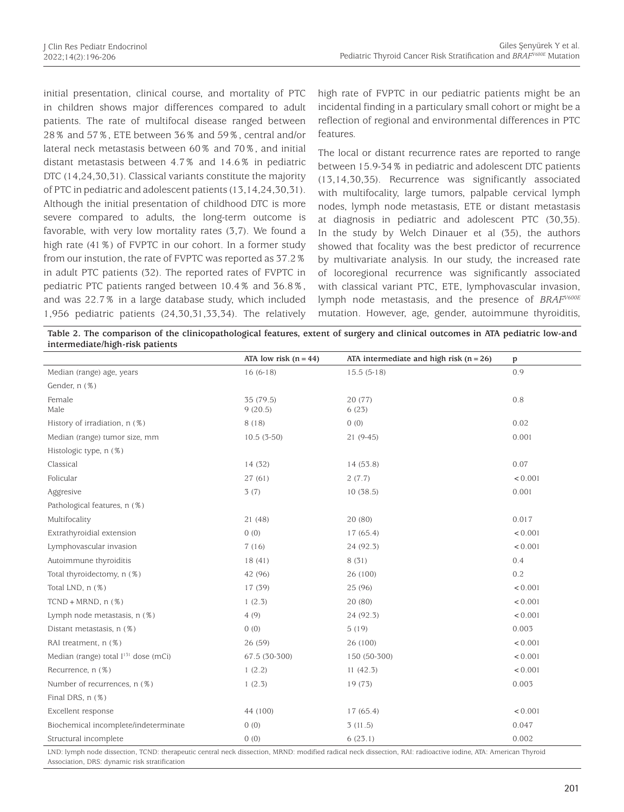initial presentation, clinical course, and mortality of PTC in children shows major differences compared to adult patients. The rate of multifocal disease ranged between 28% and 57%, ETE between 36% and 59%, central and/or lateral neck metastasis between 60% and 70%, and initial distant metastasis between 4.7% and 14.6% in pediatric DTC (14,24,30,31). Classical variants constitute the majority of PTC in pediatric and adolescent patients (13,14,24,30,31). Although the initial presentation of childhood DTC is more severe compared to adults, the long-term outcome is favorable, with very low mortality rates (3,7). We found a high rate (41%) of FVPTC in our cohort. In a former study from our instution, the rate of FVPTC was reported as 37.2% in adult PTC patients (32). The reported rates of FVPTC in pediatric PTC patients ranged between 10.4% and 36.8%, and was 22.7% in a large database study, which included 1,956 pediatric patients (24,30,31,33,34). The relatively

high rate of FVPTC in our pediatric patients might be an incidental finding in a particulary small cohort or might be a reflection of regional and environmental differences in PTC features.

The local or distant recurrence rates are reported to range between 15.9-34% in pediatric and adolescent DTC patients (13,14,30,35). Recurrence was significantly associated with multifocality, large tumors, palpable cervical lymph nodes, lymph node metastasis, ETE or distant metastasis at diagnosis in pediatric and adolescent PTC (30,35). In the study by Welch Dinauer et al (35), the authors showed that focality was the best predictor of recurrence by multivariate analysis. In our study, the increased rate of locoregional recurrence was significantly associated with classical variant PTC, ETE, lymphovascular invasion, lymph node metastasis, and the presence of *BRAFV600E* mutation. However, age, gender, autoimmune thyroiditis,

**Table 2. The comparison of the clinicopathological features, extent of surgery and clinical outcomes in ATA pediatric low-and intermediate/high-risk patients**

|                                                                                                                                                               | ATA low risk $(n = 44)$ | ATA intermediate and high risk $(n = 26)$ | p       |
|---------------------------------------------------------------------------------------------------------------------------------------------------------------|-------------------------|-------------------------------------------|---------|
| Median (range) age, years                                                                                                                                     | $16(6-18)$              | $15.5(5-18)$                              | 0.9     |
| Gender, n (%)                                                                                                                                                 |                         |                                           |         |
| Female<br>Male                                                                                                                                                | 35 (79.5)<br>9(20.5)    | 20 (77)<br>6(23)                          | 0.8     |
| History of irradiation, n (%)                                                                                                                                 | 8(18)                   | 0(0)                                      | 0.02    |
| Median (range) tumor size, mm                                                                                                                                 | $10.5(3-50)$            | $21(9-45)$                                | 0.001   |
| Histologic type, n (%)                                                                                                                                        |                         |                                           |         |
| Classical                                                                                                                                                     | 14 (32)                 | 14 (53.8)                                 | 0.07    |
| Folicular                                                                                                                                                     | 27(61)                  | 2(7.7)                                    | < 0.001 |
| Aggresive                                                                                                                                                     | 3(7)                    | 10(38.5)                                  | 0.001   |
| Pathological features, n (%)                                                                                                                                  |                         |                                           |         |
| Multifocality                                                                                                                                                 | 21 (48)                 | 20 (80)                                   | 0.017   |
| Extrathyroidial extension                                                                                                                                     | 0(0)                    | 17(65.4)                                  | < 0.001 |
| Lymphovascular invasion                                                                                                                                       | 7(16)                   | 24 (92.3)                                 | < 0.001 |
| Autoimmune thyroiditis                                                                                                                                        | 18(41)                  | 8(31)                                     | 0.4     |
| Total thyroidectomy, n (%)                                                                                                                                    | 42 (96)                 | 26 (100)                                  | 0.2     |
| Total LND, n (%)                                                                                                                                              | 17 (39)                 | 25 (96)                                   | < 0.001 |
| $TCND + MRND, n (%)$                                                                                                                                          | 1(2.3)                  | 20 (80)                                   | < 0.001 |
| Lymph node metastasis, n (%)                                                                                                                                  | 4(9)                    | 24 (92.3)                                 | < 0.001 |
| Distant metastasis, n (%)                                                                                                                                     | 0(0)                    | 5(19)                                     | 0.003   |
| RAI treatment, n (%)                                                                                                                                          | 26 (59)                 | 26 (100)                                  | < 0.001 |
| Median (range) total I <sup>131</sup> dose (mCi)                                                                                                              | 67.5 (30-300)           | 150 (50-300)                              | < 0.001 |
| Recurrence, n (%)                                                                                                                                             | 1(2.2)                  | 11(42.3)                                  | < 0.001 |
| Number of recurrences, n (%)                                                                                                                                  | 1(2.3)                  | 19 (73)                                   | 0.003   |
| Final DRS, n (%)                                                                                                                                              |                         |                                           |         |
| Excellent response                                                                                                                                            | 44 (100)                | 17(65.4)                                  | < 0.001 |
| Biochemical incomplete/indeterminate                                                                                                                          | 0(0)                    | 3(11.5)                                   | 0.047   |
| Structural incomplete                                                                                                                                         | 0(0)                    | 6(23.1)                                   | 0.002   |
| LND; lymph node dissection, TCND; therapeutic central neck dissection, MRND; modified radical neck dissection, RAL; radioactive jodine, ATA; American Thyroid |                         |                                           |         |

LND: lymph node dissection, TCND: therapeutic central neck dissection, MRND: modified radical neck dissection, RAI: radioactive iodine, ATA: American Thyroid Association, DRS: dynamic risk stratification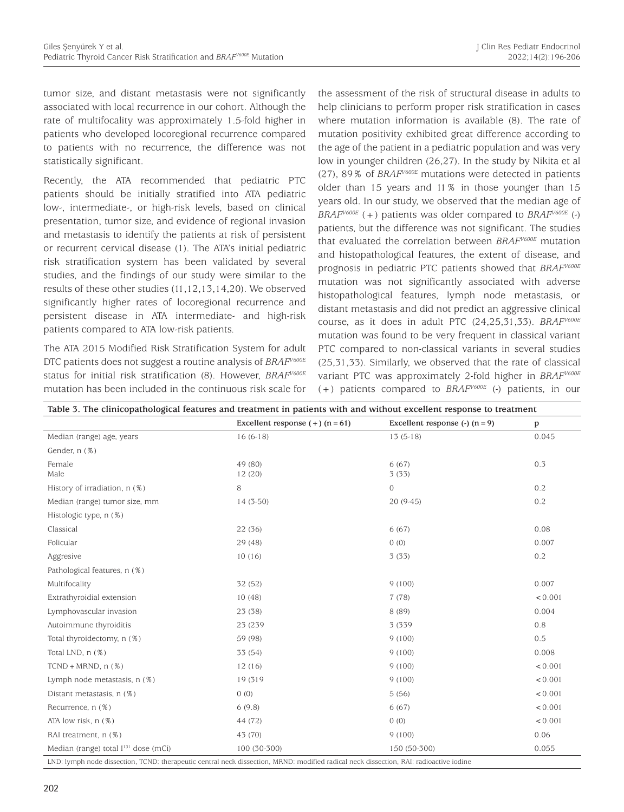tumor size, and distant metastasis were not significantly associated with local recurrence in our cohort. Although the rate of multifocality was approximately 1.5-fold higher in patients who developed locoregional recurrence compared to patients with no recurrence, the difference was not statistically significant.

Recently, the ATA recommended that pediatric PTC patients should be initially stratified into ATA pediatric low-, intermediate-, or high-risk levels, based on clinical presentation, tumor size, and evidence of regional invasion and metastasis to identify the patients at risk of persistent or recurrent cervical disease (1). The ATA's initial pediatric risk stratification system has been validated by several studies, and the findings of our study were similar to the results of these other studies (11,12,13,14,20). We observed significantly higher rates of locoregional recurrence and persistent disease in ATA intermediate- and high-risk patients compared to ATA low-risk patients.

The ATA 2015 Modified Risk Stratification System for adult DTC patients does not suggest a routine analysis of *BRAFV600E* status for initial risk stratification (8). However, *BRAFV600E* mutation has been included in the continuous risk scale for the assessment of the risk of structural disease in adults to help clinicians to perform proper risk stratification in cases where mutation information is available (8). The rate of mutation positivity exhibited great difference according to the age of the patient in a pediatric population and was very low in younger children (26,27). In the study by Nikita et al (27), 89% of *BRAFV600E* mutations were detected in patients older than 15 years and 11% in those younger than 15 years old. In our study, we observed that the median age of *BRAFV600E* (+) patients was older compared to *BRAFV600E* (-) patients, but the difference was not significant. The studies that evaluated the correlation between *BRAFV600E* mutation and histopathological features, the extent of disease, and prognosis in pediatric PTC patients showed that *BRAFV600E* mutation was not significantly associated with adverse histopathological features, lymph node metastasis, or distant metastasis and did not predict an aggressive clinical course, as it does in adult PTC (24,25,31,33). *BRAFV600E* mutation was found to be very frequent in classical variant PTC compared to non-classical variants in several studies (25,31,33). Similarly, we observed that the rate of classical variant PTC was approximately 2-fold higher in *BRAFV600E* (+) patients compared to *BRAFV600E* (-) patients, in our

| Table 3. The clinicopathological features and treatment in patients with and without excellent response to treatment                   |                                   |                                      |         |  |
|----------------------------------------------------------------------------------------------------------------------------------------|-----------------------------------|--------------------------------------|---------|--|
|                                                                                                                                        | Excellent response $(+)$ (n = 61) | Excellent response $(\cdot)$ (n = 9) | p       |  |
| Median (range) age, years                                                                                                              | $16(6-18)$                        | $13(5-18)$                           | 0.045   |  |
| Gender, n (%)                                                                                                                          |                                   |                                      |         |  |
| Female<br>Male                                                                                                                         | 49 (80)<br>12(20)                 | 6(67)<br>3(33)                       | 0.3     |  |
| History of irradiation, n (%)                                                                                                          | 8                                 | $\mathbf{O}$                         | 0.2     |  |
| Median (range) tumor size, mm                                                                                                          | $14(3-50)$                        | $20(9-45)$                           | 0.2     |  |
| Histologic type, n (%)                                                                                                                 |                                   |                                      |         |  |
| Classical                                                                                                                              | 22 (36)                           | 6(67)                                | 0.08    |  |
| Folicular                                                                                                                              | 29 (48)                           | 0(0)                                 | 0.007   |  |
| Aggresive                                                                                                                              | 10(16)                            | 3(33)                                | 0.2     |  |
| Pathological features, n (%)                                                                                                           |                                   |                                      |         |  |
| Multifocality                                                                                                                          | 32 (52)                           | 9(100)                               | 0.007   |  |
| Extrathyroidial extension                                                                                                              | 10(48)                            | 7(78)                                | < 0.001 |  |
| Lymphovascular invasion                                                                                                                | 23 (38)                           | 8 (89)                               | 0.004   |  |
| Autoimmune thyroiditis                                                                                                                 | 23 (239                           | 3 (339)                              | 0.8     |  |
| Total thyroidectomy, n (%)                                                                                                             | 59 (98)                           | 9(100)                               | 0.5     |  |
| Total LND, n (%)                                                                                                                       | 33 (54)                           | 9(100)                               | 0.008   |  |
| $TCND + MRND, n (%)$                                                                                                                   | 12(16)                            | 9(100)                               | < 0.001 |  |
| Lymph node metastasis, n (%)                                                                                                           | 19 (319                           | 9(100)                               | < 0.001 |  |
| Distant metastasis, n (%)                                                                                                              | 0(0)                              | 5(56)                                | < 0.001 |  |
| Recurrence, n (%)                                                                                                                      | 6(9.8)                            | 6(67)                                | < 0.001 |  |
| ATA low risk, n (%)                                                                                                                    | 44 (72)                           | 0(0)                                 | < 0.001 |  |
| RAI treatment, n (%)                                                                                                                   | 43 (70)                           | 9(100)                               | 0.06    |  |
| Median (range) total I <sup>131</sup> dose (mCi)                                                                                       | 100 (30-300)                      | 150 (50-300)                         | 0.055   |  |
| LND: lymph node dissection, TCND: therapeutic central neck dissection, MRND: modified radical neck dissection, RAI: radioactive iodine |                                   |                                      |         |  |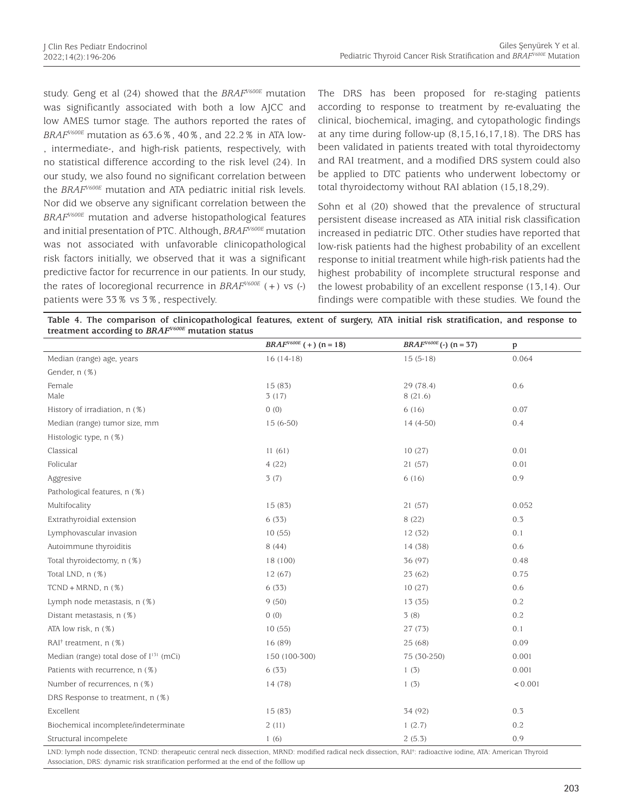study. Geng et al (24) showed that the *BRAFV600E* mutation was significantly associated with both a low AJCC and low AMES tumor stage. The authors reported the rates of *BRAFV600E* mutation as 63.6%, 40%, and 22.2% in ATA low- , intermediate-, and high-risk patients, respectively, with no statistical difference according to the risk level (24). In our study, we also found no significant correlation between the *BRAFV600E* mutation and ATA pediatric initial risk levels. Nor did we observe any significant correlation between the *BRAFV600E* mutation and adverse histopathological features and initial presentation of PTC. Although, *BRAFV600E* mutation was not associated with unfavorable clinicopathological risk factors initially, we observed that it was a significant predictive factor for recurrence in our patients. In our study, the rates of locoregional recurrence in *BRAFV600E* (+) vs (-) patients were 33% vs 3%, respectively.

The DRS has been proposed for re-staging patients according to response to treatment by re-evaluating the clinical, biochemical, imaging, and cytopathologic findings at any time during follow-up (8,15,16,17,18). The DRS has been validated in patients treated with total thyroidectomy and RAI treatment, and a modified DRS system could also be applied to DTC patients who underwent lobectomy or total thyroidectomy without RAI ablation (15,18,29).

Sohn et al (20) showed that the prevalence of structural persistent disease increased as ATA initial risk classification increased in pediatric DTC. Other studies have reported that low-risk patients had the highest probability of an excellent response to initial treatment while high-risk patients had the highest probability of incomplete structural response and the lowest probability of an excellent response (13,14). Our findings were compatible with these studies. We found the

| Table 4. The comparison of clinicopathological features, extent of surgery, ATA initial risk stratification, and response to |  |  |
|------------------------------------------------------------------------------------------------------------------------------|--|--|
| treatment according to $BRAFV600E$ mutation status                                                                           |  |  |

|                                                     | $BRAF^{V600E}$ (+) (n = 18) | $BRAF^{V600E}$ (-) (n = 37) | p       |
|-----------------------------------------------------|-----------------------------|-----------------------------|---------|
| Median (range) age, years                           | $16(14-18)$                 | $15(5-18)$                  | 0.064   |
| Gender, n (%)                                       |                             |                             |         |
| Female<br>Male                                      | 15 (83)<br>3(17)            | 29 (78.4)<br>8(21.6)        | 0.6     |
| History of irradiation, n (%)                       | 0(0)                        | 6(16)                       | 0.07    |
| Median (range) tumor size, mm                       | $15(6-50)$                  | $14(4-50)$                  | 0.4     |
| Histologic type, n (%)                              |                             |                             |         |
| Classical                                           | 11(61)                      | 10(27)                      | 0.01    |
| Folicular                                           | 4(22)                       | 21 (57)                     | 0.01    |
| Aggresive                                           | 3(7)                        | 6(16)                       | 0.9     |
| Pathological features, n (%)                        |                             |                             |         |
| Multifocality                                       | 15 (83)                     | 21 (57)                     | 0.052   |
| Extrathyroidial extension                           | 6(33)                       | 8 (22)                      | 0.3     |
| Lymphovascular invasion                             | 10(55)                      | 12(32)                      | 0.1     |
| Autoimmune thyroiditis                              | 8(44)                       | 14 (38)                     | 0.6     |
| Total thyroidectomy, n (%)                          | 18 (100)                    | 36 (97)                     | 0.48    |
| Total LND, n (%)                                    | 12 (67)                     | 23(62)                      | 0.75    |
| $TCND + MRND, n(\%)$                                | 6(33)                       | 10(27)                      | 0.6     |
| Lymph node metastasis, n (%)                        | 9(50)                       | 13 (35)                     | 0.2     |
| Distant metastasis, n (%)                           | 0(0)                        | 3(8)                        | 0.2     |
| ATA low risk, n (%)                                 | 10(55)                      | 27(73)                      | 0.1     |
| $RAI†$ treatment, n $(\%)$                          | 16 (89)                     | 25(68)                      | 0.09    |
| Median (range) total dose of I <sup>131</sup> (mCi) | 150 (100-300)               | 75 (30-250)                 | 0.001   |
| Patients with recurrence, n (%)                     | 6(33)                       | 1(3)                        | 0.001   |
| Number of recurrences, n (%)                        | 14 (78)                     | 1(3)                        | < 0.001 |
| DRS Response to treatment, n (%)                    |                             |                             |         |
| Excellent                                           | 15 (83)                     | 34 (92)                     | 0.3     |
| Biochemical incomplete/indeterminate                | 2(11)                       | 1(2.7)                      | 0.2     |
| Structural incompelete                              | 1(6)                        | 2(5.3)                      | 0.9     |

LND: lymph node dissection, TCND: therapeutic central neck dissection, MRND: modified radical neck dissection, RAI† : radioactive iodine, ATA: American Thyroid Association, DRS: dynamic risk stratification performed at the end of the folllow up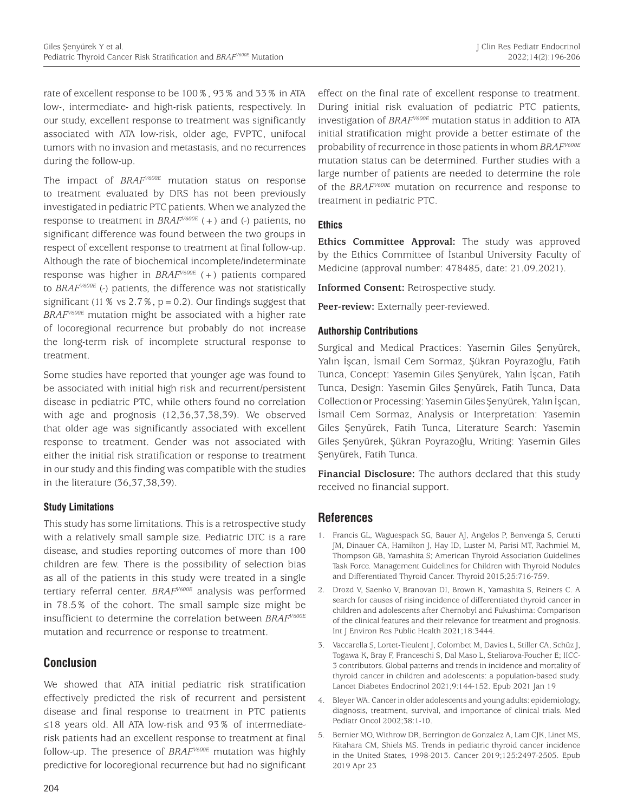rate of excellent response to be 100%, 93% and 33% in ATA low-, intermediate- and high-risk patients, respectively. In our study, excellent response to treatment was significantly associated with ATA low-risk, older age, FVPTC, unifocal tumors with no invasion and metastasis, and no recurrences during the follow-up.

The impact of *BRAFV600E* mutation status on response to treatment evaluated by DRS has not been previously investigated in pediatric PTC patients. When we analyzed the response to treatment in *BRAFV600E* (+) and (-) patients, no significant difference was found between the two groups in respect of excellent response to treatment at final follow-up. Although the rate of biochemical incomplete/indeterminate response was higher in *BRAFV600E* (+) patients compared to *BRAFV600E* (-) patients, the difference was not statistically significant (11 % vs  $2.7$  %,  $p = 0.2$ ). Our findings suggest that *BRAFV600E* mutation might be associated with a higher rate of locoregional recurrence but probably do not increase the long-term risk of incomplete structural response to treatment.

Some studies have reported that younger age was found to be associated with initial high risk and recurrent/persistent disease in pediatric PTC, while others found no correlation with age and prognosis (12,36,37,38,39). We observed that older age was significantly associated with excellent response to treatment. Gender was not associated with either the initial risk stratification or response to treatment in our study and this finding was compatible with the studies in the literature (36,37,38,39).

## **Study Limitations**

This study has some limitations. This is a retrospective study with a relatively small sample size. Pediatric DTC is a rare disease, and studies reporting outcomes of more than 100 children are few. There is the possibility of selection bias as all of the patients in this study were treated in a single tertiary referral center. *BRAFV600E* analysis was performed in 78.5% of the cohort. The small sample size might be insufficient to determine the correlation between *BRAFV600E* mutation and recurrence or response to treatment.

# **Conclusion**

We showed that ATA initial pediatric risk stratification effectively predicted the risk of recurrent and persistent disease and final response to treatment in PTC patients ≤18 years old. All ATA low-risk and 93% of intermediaterisk patients had an excellent response to treatment at final follow-up. The presence of *BRAFV600E* mutation was highly predictive for locoregional recurrence but had no significant effect on the final rate of excellent response to treatment. During initial risk evaluation of pediatric PTC patients, investigation of *BRAFV600E* mutation status in addition to ATA initial stratification might provide a better estimate of the probability of recurrence in those patients in whom *BRAFV600E* mutation status can be determined. Further studies with a large number of patients are needed to determine the role of the *BRAFV600E* mutation on recurrence and response to treatment in pediatric PTC.

## **Ethics**

**Ethics Committee Approval:** The study was approved by the Ethics Committee of İstanbul University Faculty of Medicine (approval number: 478485, date: 21.09.2021).

**Informed Consent:** Retrospective study.

**Peer-review:** Externally peer-reviewed.

## **Authorship Contributions**

Surgical and Medical Practices: Yasemin Giles Şenyürek, Yalın İşcan, İsmail Cem Sormaz, Şükran Poyrazoğlu, Fatih Tunca, Concept: Yasemin Giles Şenyürek, Yalın İşcan, Fatih Tunca, Design: Yasemin Giles Şenyürek, Fatih Tunca, Data Collection or Processing: Yasemin Giles Şenyürek, Yalın İşcan, İsmail Cem Sormaz, Analysis or Interpretation: Yasemin Giles Şenyürek, Fatih Tunca, Literature Search: Yasemin Giles Şenyürek, Şükran Poyrazoğlu, Writing: Yasemin Giles Şenyürek, Fatih Tunca.

**Financial Disclosure:** The authors declared that this study received no financial support.

## **References**

- 1. Francis GL, Waguespack SG, Bauer AJ, Angelos P, Benvenga S, Cerutti JM, Dinauer CA, Hamilton J, Hay ID, Luster M, Parisi MT, Rachmiel M, Thompson GB, Yamashita S; American Thyroid Association Guidelines Task Force. Management Guidelines for Children with Thyroid Nodules and Differentiated Thyroid Cancer. Thyroid 2015;25:716-759.
- 2. Drozd V, Saenko V, Branovan DI, Brown K, Yamashita S, Reiners C. A search for causes of rising incidence of differentiated thyroid cancer in children and adolescents after Chernobyl and Fukushima: Comparison of the clinical features and their relevance for treatment and prognosis. Int J Environ Res Public Health 2021;18:3444.
- 3. Vaccarella S, Lortet-Tieulent J, Colombet M, Davies L, Stiller CA, Schüz J, Togawa K, Bray F, Franceschi S, Dal Maso L, Steliarova-Foucher E; IICC-3 contributors. Global patterns and trends in incidence and mortality of thyroid cancer in children and adolescents: a population-based study. Lancet Diabetes Endocrinol 2021;9:144-152. Epub 2021 Jan 19
- 4. Bleyer WA. Cancer in older adolescents and young adults: epidemiology, diagnosis, treatment, survival, and importance of clinical trials. Med Pediatr Oncol 2002;38:1-10.
- 5. Bernier MO, Withrow DR, Berrington de Gonzalez A, Lam CJK, Linet MS, Kitahara CM, Shiels MS. Trends in pediatric thyroid cancer incidence in the United States, 1998-2013. Cancer 2019;125:2497-2505. Epub 2019 Apr 23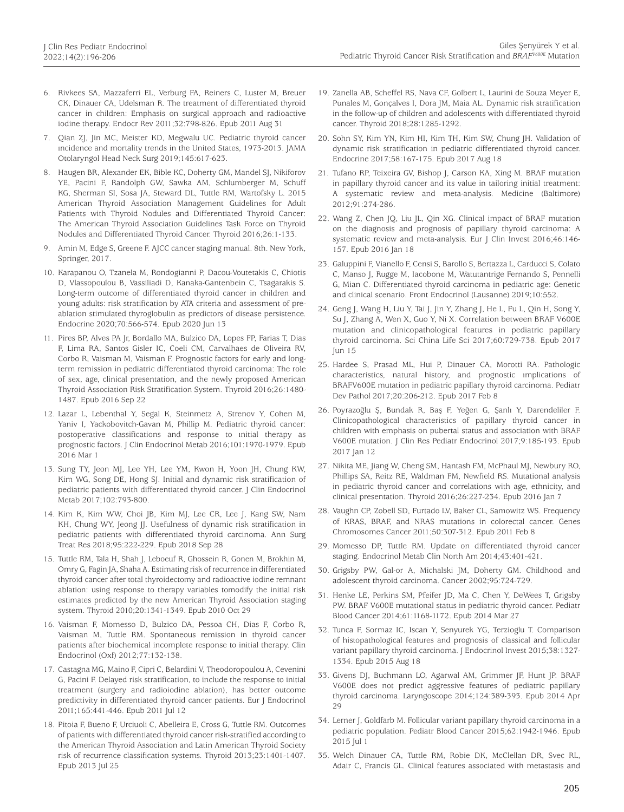- 6. Rivkees SA, Mazzaferri EL, Verburg FA, Reiners C, Luster M, Breuer CK, Dinauer CA, Udelsman R. The treatment of differentiated thyroid cancer in children: Emphasis on surgical approach and radioactive iodine therapy. Endocr Rev 2011;32:798-826. Epub 2011 Aug 31
- 7. Qian ZJ, Jin MC, Meister KD, Megwalu UC. Pediatric thyroid cancer ıncidence and mortality trends in the United States, 1973-2013. JAMA Otolaryngol Head Neck Surg 2019;145:617-623.
- 8. Haugen BR, Alexander EK, Bible KC, Doherty GM, Mandel SJ, Nikiforov YE, Pacini F, Randolph GW, Sawka AM, Schlumberger M, Schuff KG, Sherman SI, Sosa JA, Steward DL, Tuttle RM, Wartofsky L. 2015 American Thyroid Association Management Guidelines for Adult Patients with Thyroid Nodules and Differentiated Thyroid Cancer: The American Thyroid Association Guidelines Task Force on Thyroid Nodules and Differentiated Thyroid Cancer. Thyroid 2016;26:1-133.
- 9. Amin M, Edge S, Greene F. AJCC cancer staging manual. 8th. New York, Springer, 2017.
- 10. Karapanou O, Tzanela M, Rondogianni P, Dacou-Voutetakis C, Chiotis D, Vlassopoulou B, Vassiliadi D, Kanaka-Gantenbein C, Tsagarakis S. Long-term outcome of differentiated thyroid cancer in children and young adults: risk stratification by ATA criteria and assessment of preablation stimulated thyroglobulin as predictors of disease persistence. Endocrine 2020;70:566-574. Epub 2020 Jun 13
- 11. Pires BP, Alves PA Jr, Bordallo MA, Bulzico DA, Lopes FP, Farias T, Dias F, Lima RA, Santos Gisler IC, Coeli CM, Carvalhaes de Oliveira RV, Corbo R, Vaisman M, Vaisman F. Prognostic factors for early and longterm remission in pediatric differentiated thyroid carcinoma: The role of sex, age, clinical presentation, and the newly proposed American Thyroid Association Risk Stratification System. Thyroid 2016;26:1480- 1487. Epub 2016 Sep 22
- 12. Lazar L, Lebenthal Y, Segal K, Steinmetz A, Strenov Y, Cohen M, Yaniv I, Yackobovitch-Gavan M, Phillip M. Pediatric thyroid cancer: postoperative classifications and response to ınitial therapy as prognostic factors. J Clin Endocrinol Metab 2016;101:1970-1979. Epub 2016 Mar 1
- 13. Sung TY, Jeon MJ, Lee YH, Lee YM, Kwon H, Yoon JH, Chung KW, Kim WG, Song DE, Hong SJ. Initial and dynamic risk stratification of pediatric patients with differentiated thyroid cancer. J Clin Endocrinol Metab 2017;102:793-800.
- 14. Kim K, Kim WW, Choi JB, Kim MJ, Lee CR, Lee J, Kang SW, Nam KH, Chung WY, Jeong JJ. Usefulness of dynamic risk stratification in pediatric patients with differentiated thyroid carcinoma. Ann Surg Treat Res 2018;95:222-229. Epub 2018 Sep 28
- 15. Tuttle RM, Tala H, Shah J, Leboeuf R, Ghossein R, Gonen M, Brokhin M, Omry G, Fagin JA, Shaha A. Estimating risk of recurrence in differentiated thyroid cancer after total thyroidectomy and radioactive iodine remnant ablation: using response to therapy variables tomodify the initial risk estimates predicted by the new American Thyroid Association staging system. Thyroid 2010;20:1341-1349. Epub 2010 Oct 29
- 16. Vaisman F, Momesso D, Bulzico DA, Pessoa CH, Dias F, Corbo R, Vaisman M, Tuttle RM. Spontaneous remission in thyroid cancer patients after biochemical incomplete response to initial therapy. Clin Endocrinol (Oxf) 2012;77:132-138.
- 17. Castagna MG, Maino F, Cipri C, Belardini V, Theodoropoulou A, Cevenini G, Pacini F. Delayed risk stratification, to include the response to initial treatment (surgery and radioiodine ablation), has better outcome predictivity in differentiated thyroid cancer patients. Eur J Endocrinol 2011;165:441-446. Epub 2011 Jul 12
- 18. Pitoia F, Bueno F, Urciuoli C, Abelleira E, Cross G, Tuttle RM. Outcomes of patients with differentiated thyroid cancer risk-stratified according to the American Thyroid Association and Latin American Thyroid Society risk of recurrence classification systems. Thyroid 2013;23:1401-1407. Epub 2013 Jul 25
- 19. Zanella AB, Scheffel RS, Nava CF, Golbert L, Laurini de Souza Meyer E, Punales M, Gonçalves I, Dora JM, Maia AL. Dynamic risk stratification in the follow-up of children and adolescents with differentiated thyroid cancer. Thyroid 2018;28:1285-1292.
- 20. Sohn SY, Kim YN, Kim HI, Kim TH, Kim SW, Chung JH. Validation of dynamic risk stratification in pediatric differentiated thyroid cancer. Endocrine 2017;58:167-175. Epub 2017 Aug 18
- 21. Tufano RP, Teixeira GV, Bishop J, Carson KA, Xing M. BRAF mutation in papillary thyroid cancer and its value in tailoring initial treatment: A systematic review and meta-analysis. Medicine (Baltimore) 2012;91:274-286.
- 22. Wang Z, Chen JQ, Liu JL, Qin XG. Clinical impact of BRAF mutation on the diagnosis and prognosis of papillary thyroid carcinoma: A systematic review and meta-analysis. Eur J Clin Invest 2016;46:146- 157. Epub 2016 Jan 18
- 23. Galuppini F, Vianello F, Censi S, Barollo S, Bertazza L, Carducci S, Colato C, Manso J, Rugge M, Iacobone M, Watutantrige Fernando S, Pennelli G, Mian C. Differentiated thyroid carcinoma in pediatric age: Genetic and clinical scenario. Front Endocrinol (Lausanne) 2019;10:552.
- 24. Geng J, Wang H, Liu Y, Tai J, Jin Y, Zhang J, He L, Fu L, Qin H, Song Y, Su J, Zhang A, Wen X, Guo Y, Ni X. Correlation between BRAF V600E mutation and clinicopathological features in pediatric papillary thyroid carcinoma. Sci China Life Sci 2017;60:729-738. Epub 2017 Jun 15
- 25. Hardee S, Prasad ML, Hui P, Dinauer CA, Morotti RA. Pathologic characteristics, natural history, and prognostic ımplications of BRAFV600E mutation in pediatric papillary thyroid carcinoma. Pediatr Dev Pathol 2017;20:206-212. Epub 2017 Feb 8
- 26. Poyrazoğlu Ş, Bundak R, Baş F, Yeğen G, Şanlı Y, Darendeliler F. Clinicopathological characteristics of papillary thyroid cancer in children with emphasis on pubertal status and association with BRAF V600E mutation. J Clin Res Pediatr Endocrinol 2017;9:185-193. Epub 2017 Jan 12
- 27. Nikita ME, Jiang W, Cheng SM, Hantash FM, McPhaul MJ, Newbury RO, Phillips SA, Reitz RE, Waldman FM, Newfield RS. Mutational analysis in pediatric thyroid cancer and correlations with age, ethnicity, and clinical presentation. Thyroid 2016;26:227-234. Epub 2016 Jan 7
- 28. Vaughn CP, Zobell SD, Furtado LV, Baker CL, Samowitz WS. Frequency of KRAS, BRAF, and NRAS mutations in colorectal cancer. Genes Chromosomes Cancer 2011;50:307-312. Epub 2011 Feb 8
- 29. Momesso DP, Tuttle RM. Update on differentiated thyroid cancer staging. Endocrinol Metab Clin North Am 2014;43:401-421.
- 30. Grigsby PW, Gal-or A, Michalski JM, Doherty GM. Childhood and adolescent thyroid carcinoma. Cancer 2002;95:724-729.
- 31. Henke LE, Perkins SM, Pfeifer JD, Ma C, Chen Y, DeWees T, Grigsby PW. BRAF V600E mutational status in pediatric thyroid cancer. Pediatr Blood Cancer 2014;61:1168-1172. Epub 2014 Mar 27
- 32. Tunca F, Sormaz IC, Iscan Y, Senyurek YG, Terzioglu T. Comparison of histopathological features and prognosis of classical and follicular variant papillary thyroid carcinoma. J Endocrinol Invest 2015;38:1327- 1334. Epub 2015 Aug 18
- 33. Givens DJ, Buchmann LO, Agarwal AM, Grimmer JF, Hunt JP. BRAF V600E does not predict aggressive features of pediatric papillary thyroid carcinoma. Laryngoscope 2014;124:389-393. Epub 2014 Apr 29
- 34. Lerner J, Goldfarb M. Follicular variant papillary thyroid carcinoma in a pediatric population. Pediatr Blood Cancer 2015;62:1942-1946. Epub 2015 Jul 1
- 35. Welch Dinauer CA, Tuttle RM, Robie DK, McClellan DR, Svec RL, Adair C, Francis GL. Clinical features associated with metastasis and